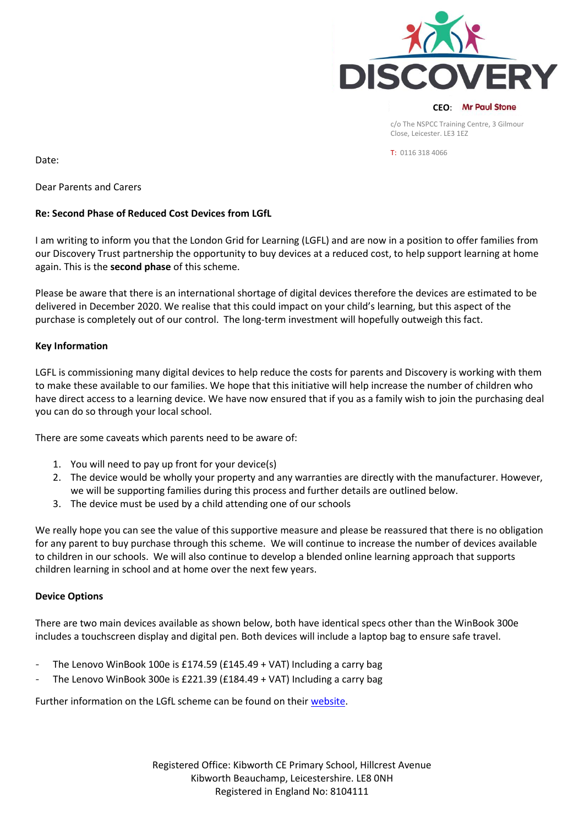

T: 0116 318 4066

Date:

Dear Parents and Carers

# **Re: Second Phase of Reduced Cost Devices from LGfL**

I am writing to inform you that the London Grid for Learning (LGFL) and are now in a position to offer families from our Discovery Trust partnership the opportunity to buy devices at a reduced cost, to help support learning at home again. This is the **second phase** of this scheme.

Please be aware that there is an international shortage of digital devices therefore the devices are estimated to be delivered in December 2020. We realise that this could impact on your child's learning, but this aspect of the purchase is completely out of our control. The long-term investment will hopefully outweigh this fact.

# **Key Information**

LGFL is commissioning many digital devices to help reduce the costs for parents and Discovery is working with them to make these available to our families. We hope that this initiative will help increase the number of children who have direct access to a learning device. We have now ensured that if you as a family wish to join the purchasing deal you can do so through your local school.

There are some caveats which parents need to be aware of:

- 1. You will need to pay up front for your device(s)
- 2. The device would be wholly your property and any warranties are directly with the manufacturer. However, we will be supporting families during this process and further details are outlined below.
- 3. The device must be used by a child attending one of our schools

We really hope you can see the value of this supportive measure and please be reassured that there is no obligation for any parent to buy purchase through this scheme. We will continue to increase the number of devices available to children in our schools. We will also continue to develop a blended online learning approach that supports children learning in school and at home over the next few years.

# **Device Options**

There are two main devices available as shown below, both have identical specs other than the WinBook 300e includes a touchscreen display and digital pen. Both devices will include a laptop bag to ensure safe travel.

- The Lenovo WinBook 100e is £174.59 (£145.49 + VAT) Including a carry bag
- The Lenovo WinBook 300e is £221.39 ( $£184.49 + VAT$ ) Including a carry bag

Further information on the LGfL scheme can be found on their [website.](https://national.lgfl.net/smartbuy/devices)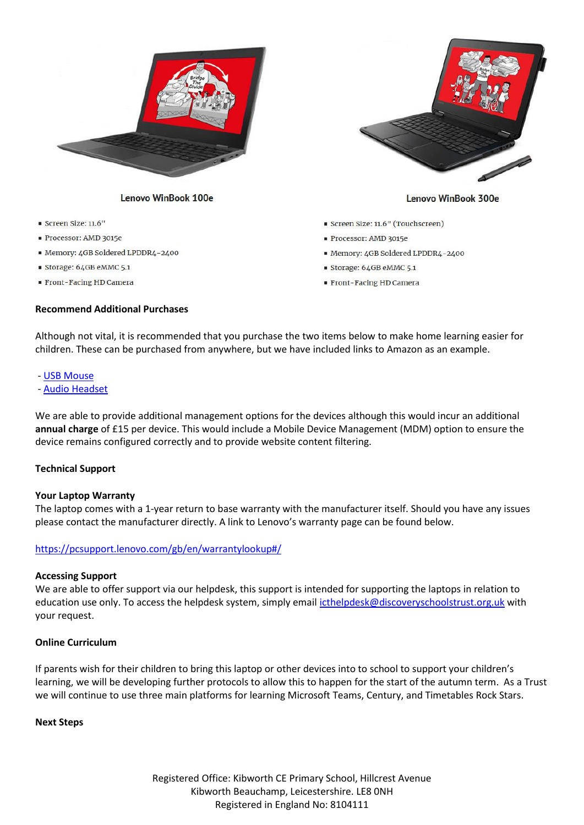

#### Lenovo WinBook 100e

- Screen Size: 11.6"
- Processor: AMD 3015e
- Memory: 4GB Soldered LPDDR4-2400
- Storage: 64GB eMMC 5.1
- Front-Facing HD Camera

## **Recommend Additional Purchases**



#### Lenovo WinBook 300e

- Screen Size: 11.6" (Touchscreen)
- Processor: AMD 3015e
- Memory: 4GB Soldered LPDDR4-2400
- Storage: 64GB eMMC 5.1
- Front-Facing HD Camera

Although not vital, it is recommended that you purchase the two items below to make home learning easier for children. These can be purchased from anywhere, but we have included links to Amazon as an example.

#### - [USB Mouse](https://www.amazon.co.uk/AmazonBasics-3-Button-Optical-Mouse-Black/dp/B005EJH6RW/ref=sr_1_2_sspa?dchild=1&keywords=usb+mouse&qid=1593519554&s=computers&sr=1-2-spons&psc=1&spLa=ZW5jcnlwdGVkUXVhbGlmaWVyPUEyWldORFBPWDNBQ1gwJmVuY3J5cHRlZElkPUEwMjM4MjQxSFZRQVpYUTFBUFNRJmVuY3J5cHRlZEFkSWQ9QTA3OTYzNTQzUkoxQzQ3RjQxRkRJJndpZGdldE5hbWU9c3BfYXRmJmFjdGlvbj1jbGlja1JlZGlyZWN0JmRvTm90TG9nQ2xpY2s9dHJ1ZQ==)

- [Audio Headset](https://www.amazon.co.uk/Hama-PC-Headset-CS-453-Microphone/dp/B00005UPCY/ref=sr_1_13?dchild=1&keywords=headset&qid=1593518557&s=computers&sr=1-13)

We are able to provide additional management options for the devices although this would incur an additional **annual charge** of £15 per device. This would include a Mobile Device Management (MDM) option to ensure the device remains configured correctly and to provide website content filtering.

## **Technical Support**

#### **Your Laptop Warranty**

The laptop comes with a 1-year return to base warranty with the manufacturer itself. Should you have any issues please contact the manufacturer directly. A link to Lenovo's warranty page can be found below.

## <https://pcsupport.lenovo.com/gb/en/warrantylookup#/>

#### **Accessing Support**

We are able to offer support via our helpdesk, this support is intended for supporting the laptops in relation to education use only. To access the helpdesk system, simply emai[l icthelpdesk@discoveryschoolstrust.org.uk](mailto:icthelpdesk@discoveryschoolstrust.org.uk) with your request.

## **Online Curriculum**

If parents wish for their children to bring this laptop or other devices into to school to support your children's learning, we will be developing further protocols to allow this to happen for the start of the autumn term. As a Trust we will continue to use three main platforms for learning Microsoft Teams, Century, and Timetables Rock Stars.

## **Next Steps**

Registered Office: Kibworth CE Primary School, Hillcrest Avenue Kibworth Beauchamp, Leicestershire. LE8 0NH Registered in England No: 8104111